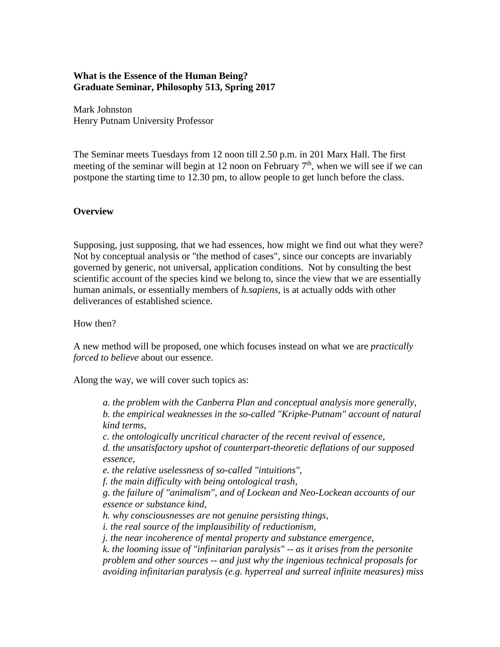## **What is the Essence of the Human Being? Graduate Seminar, Philosophy 513, Spring 2017**

Mark Johnston Henry Putnam University Professor

The Seminar meets Tuesdays from 12 noon till 2.50 p.m. in 201 Marx Hall. The first meeting of the seminar will begin at 12 noon on February  $7<sup>th</sup>$ , when we will see if we can postpone the starting time to 12.30 pm, to allow people to get lunch before the class.

### **Overview**

Supposing, just supposing, that we had essences, how might we find out what they were? Not by conceptual analysis or "the method of cases", since our concepts are invariably governed by generic, not universal, application conditions. Not by consulting the best scientific account of the species kind we belong to, since the view that we are essentially human animals, or essentially members of *h.sapiens*, is at actually odds with other deliverances of established science.

How then?

A new method will be proposed, one which focuses instead on what we are *practically forced to believe* about our essence.

Along the way, we will cover such topics as:

*a. the problem with the Canberra Plan and conceptual analysis more generally, b. the empirical weaknesses in the so-called "Kripke-Putnam" account of natural kind terms, c. the ontologically uncritical character of the recent revival of essence, d. the unsatisfactory upshot of counterpart-theoretic deflations of our supposed essence, e. the relative uselessness of so-called "intuitions", f. the main difficulty with being ontological trash, g. the failure of "animalism", and of Lockean and Neo-Lockean accounts of our essence or substance kind, h. why consciousnesses are not genuine persisting things, i. the real source of the implausibility of reductionism, j. the near incoherence of mental property and substance emergence, k. the looming issue of "infinitarian paralysis" -- as it arises from the personite problem and other sources -- and just why the ingenious technical proposals for avoiding infinitarian paralysis (e.g. hyperreal and surreal infinite measures) miss*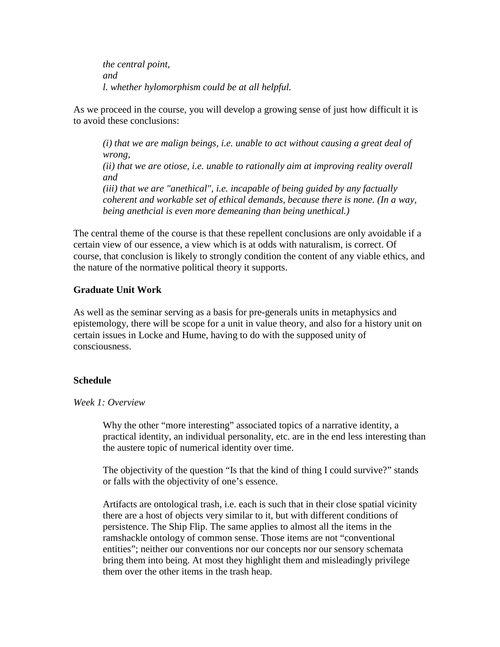*the central point, and l. whether hylomorphism could be at all helpful.* 

As we proceed in the course, you will develop a growing sense of just how difficult it is to avoid these conclusions:

*(i) that we are malign beings, i.e. unable to act without causing a great deal of wrong, (ii) that we are otiose, i.e. unable to rationally aim at improving reality overall and (iii) that we are "anethical", i.e. incapable of being guided by any factually coherent and workable set of ethical demands, because there is none. (In a way, being anethcial is even more demeaning than being unethical.)*

The central theme of the course is that these repellent conclusions are only avoidable if a certain view of our essence, a view which is at odds with naturalism, is correct. Of course, that conclusion is likely to strongly condition the content of any viable ethics, and the nature of the normative political theory it supports.

## **Graduate Unit Work**

As well as the seminar serving as a basis for pre-generals units in metaphysics and epistemology, there will be scope for a unit in value theory, and also for a history unit on certain issues in Locke and Hume, having to do with the supposed unity of consciousness.

### **Schedule**

### *Week 1: Overview*

Why the other "more interesting" associated topics of a narrative identity, a practical identity, an individual personality, etc. are in the end less interesting than the austere topic of numerical identity over time.

The objectivity of the question "Is that the kind of thing I could survive?" stands or falls with the objectivity of one's essence.

Artifacts are ontological trash, i.e. each is such that in their close spatial vicinity there are a host of objects very similar to it, but with different conditions of persistence. The Ship Flip. The same applies to almost all the items in the ramshackle ontology of common sense. Those items are not "conventional entities"; neither our conventions nor our concepts nor our sensory schemata bring them into being. At most they highlight them and misleadingly privilege them over the other items in the trash heap.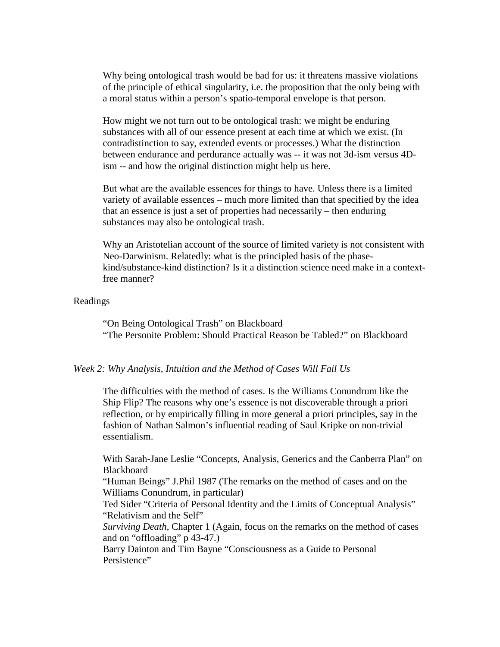Why being ontological trash would be bad for us: it threatens massive violations of the principle of ethical singularity, i.e. the proposition that the only being with a moral status within a person's spatio-temporal envelope is that person.

How might we not turn out to be ontological trash: we might be enduring substances with all of our essence present at each time at which we exist. (In contradistinction to say, extended events or processes.) What the distinction between endurance and perdurance actually was -- it was not 3d-ism versus 4Dism -- and how the original distinction might help us here.

But what are the available essences for things to have. Unless there is a limited variety of available essences – much more limited than that specified by the idea that an essence is just a set of properties had necessarily – then enduring substances may also be ontological trash.

Why an Aristotelian account of the source of limited variety is not consistent with Neo-Darwinism. Relatedly: what is the principled basis of the phasekind/substance-kind distinction? Is it a distinction science need make in a contextfree manner?

#### Readings

"On Being Ontological Trash" on Blackboard "The Personite Problem: Should Practical Reason be Tabled?" on Blackboard

#### *Week 2: Why Analysis, Intuition and the Method of Cases Will Fail Us*

The difficulties with the method of cases. Is the Williams Conundrum like the Ship Flip? The reasons why one's essence is not discoverable through a priori reflection, or by empirically filling in more general a priori principles, say in the fashion of Nathan Salmon's influential reading of Saul Kripke on non-trivial essentialism.

With Sarah-Jane Leslie "Concepts, Analysis, Generics and the Canberra Plan" on **Blackboard** 

"Human Beings" J.Phil 1987 (The remarks on the method of cases and on the Williams Conundrum, in particular)

Ted Sider "Criteria of Personal Identity and the Limits of Conceptual Analysis" "Relativism and the Self"

*Surviving Death*, Chapter 1 (Again, focus on the remarks on the method of cases and on "offloading" p 43-47.)

Barry Dainton and Tim Bayne "Consciousness as a Guide to Personal Persistence"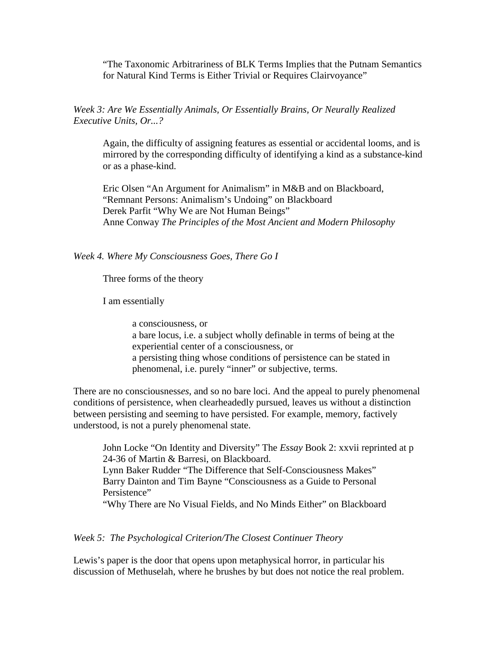"The Taxonomic Arbitrariness of BLK Terms Implies that the Putnam Semantics for Natural Kind Terms is Either Trivial or Requires Clairvoyance"

## *Week 3: Are We Essentially Animals, Or Essentially Brains, Or Neurally Realized Executive Units, Or...?*

Again, the difficulty of assigning features as essential or accidental looms, and is mirrored by the corresponding difficulty of identifying a kind as a substance-kind or as a phase-kind.

Eric Olsen "An Argument for Animalism" in M&B and on Blackboard, "Remnant Persons: Animalism's Undoing" on Blackboard Derek Parfit "Why We are Not Human Beings" Anne Conway *The Principles of the Most Ancient and Modern Philosophy*

#### *Week 4. Where My Consciousness Goes, There Go I*

Three forms of the theory

I am essentially

a consciousness, or a bare locus, i.e. a subject wholly definable in terms of being at the experiential center of a consciousness, or a persisting thing whose conditions of persistence can be stated in phenomenal, i.e. purely "inner" or subjective, terms.

There are no consciousness*es*, and so no bare loci. And the appeal to purely phenomenal conditions of persistence, when clearheadedly pursued, leaves us without a distinction between persisting and seeming to have persisted. For example, memory, factively understood, is not a purely phenomenal state.

John Locke "On Identity and Diversity" The *Essay* Book 2: xxvii reprinted at p 24-36 of Martin & Barresi, on Blackboard. Lynn Baker Rudder "The Difference that Self-Consciousness Makes" Barry Dainton and Tim Bayne "Consciousness as a Guide to Personal Persistence" "Why There are No Visual Fields, and No Minds Either" on Blackboard

*Week 5: The Psychological Criterion/The Closest Continuer Theory*

Lewis's paper is the door that opens upon metaphysical horror, in particular his discussion of Methuselah, where he brushes by but does not notice the real problem.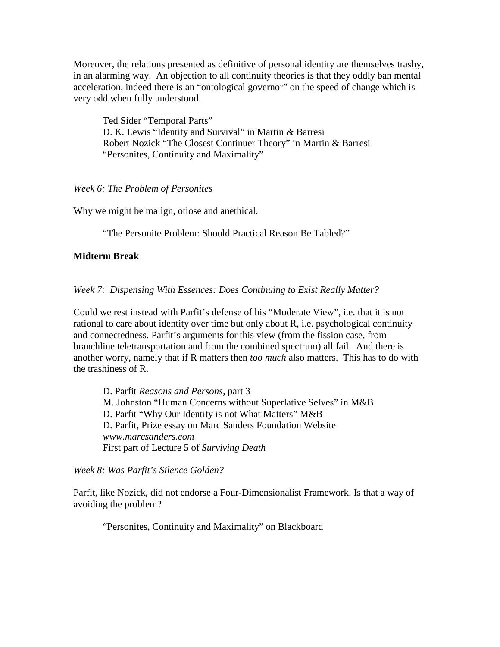Moreover, the relations presented as definitive of personal identity are themselves trashy, in an alarming way. An objection to all continuity theories is that they oddly ban mental acceleration, indeed there is an "ontological governor" on the speed of change which is very odd when fully understood.

Ted Sider "Temporal Parts" D. K. Lewis "Identity and Survival" in Martin & Barresi Robert Nozick "The Closest Continuer Theory" in Martin & Barresi "Personites, Continuity and Maximality"

*Week 6: The Problem of Personites*

Why we might be malign, otiose and anethical.

"The Personite Problem: Should Practical Reason Be Tabled?"

### **Midterm Break**

*Week 7: Dispensing With Essences: Does Continuing to Exist Really Matter?*

Could we rest instead with Parfit's defense of his "Moderate View", i.e. that it is not rational to care about identity over time but only about R, i.e. psychological continuity and connectedness. Parfit's arguments for this view (from the fission case, from branchline teletransportation and from the combined spectrum) all fail. And there is another worry, namely that if R matters then *too much* also matters. This has to do with the trashiness of R.

D. Parfit *Reasons and Persons,* part 3 M. Johnston "Human Concerns without Superlative Selves" in M&B D. Parfit "Why Our Identity is not What Matters" M&B D. Parfit, Prize essay on Marc Sanders Foundation Website *www.marcsanders.com* First part of Lecture 5 of *Surviving Death*

*Week 8: Was Parfit's Silence Golden?* 

Parfit, like Nozick, did not endorse a Four-Dimensionalist Framework. Is that a way of avoiding the problem?

"Personites, Continuity and Maximality" on Blackboard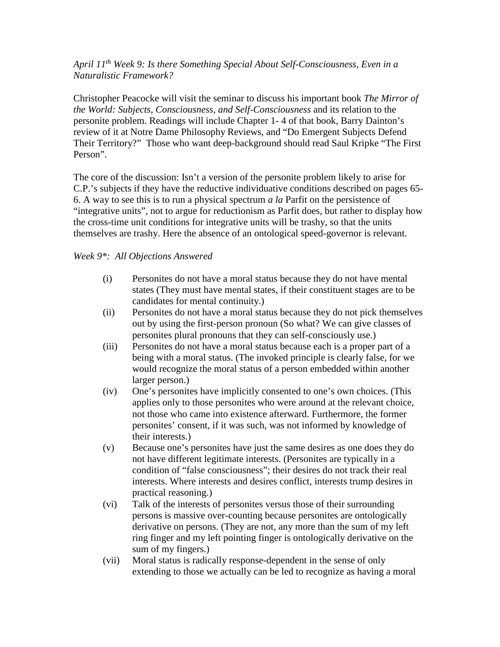# *April 11th Week 9: Is there Something Special About Self-Consciousness, Even in a Naturalistic Framework?*

Christopher Peacocke will visit the seminar to discuss his important book *The Mirror of the World: Subjects, Consciousness, and Self-Consciousness* and its relation to the personite problem. Readings will include Chapter 1- 4 of that book, Barry Dainton's review of it at Notre Dame Philosophy Reviews, and "Do Emergent Subjects Defend Their Territory?" Those who want deep-background should read Saul Kripke "The First Person".

The core of the discussion: Isn't a version of the personite problem likely to arise for C.P.'s subjects if they have the reductive individuative conditions described on pages 65- 6. A way to see this is to run a physical spectrum *a la* Parfit on the persistence of "integrative units", not to argue for reductionism as Parfit does, but rather to display how the cross-time unit conditions for integrative units will be trashy, so that the units themselves are trashy. Here the absence of an ontological speed-governor is relevant.

# *Week 9\*: All Objections Answered*

- (i) Personites do not have a moral status because they do not have mental states (They must have mental states, if their constituent stages are to be candidates for mental continuity.)
- (ii) Personites do not have a moral status because they do not pick themselves out by using the first-person pronoun (So what? We can give classes of personites plural pronouns that they can self-consciously use.)
- (iii) Personites do not have a moral status because each is a proper part of a being with a moral status. (The invoked principle is clearly false, for we would recognize the moral status of a person embedded within another larger person.)
- (iv) One's personites have implicitly consented to one's own choices. (This applies only to those personites who were around at the relevant choice, not those who came into existence afterward. Furthermore, the former personites' consent, if it was such, was not informed by knowledge of their interests.)
- (v) Because one's personites have just the same desires as one does they do not have different legitimate interests. (Personites are typically in a condition of "false consciousness"; their desires do not track their real interests. Where interests and desires conflict, interests trump desires in practical reasoning.)
- (vi) Talk of the interests of personites versus those of their surrounding persons is massive over-counting because personites are ontologically derivative on persons. (They are not, any more than the sum of my left ring finger and my left pointing finger is ontologically derivative on the sum of my fingers.)
- (vii) Moral status is radically response-dependent in the sense of only extending to those we actually can be led to recognize as having a moral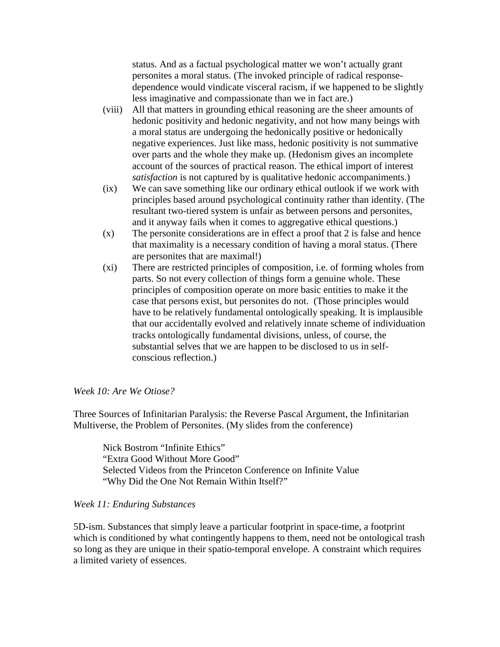status. And as a factual psychological matter we won't actually grant personites a moral status. (The invoked principle of radical responsedependence would vindicate visceral racism, if we happened to be slightly less imaginative and compassionate than we in fact are.)

- (viii) All that matters in grounding ethical reasoning are the sheer amounts of hedonic positivity and hedonic negativity, and not how many beings with a moral status are undergoing the hedonically positive or hedonically negative experiences. Just like mass, hedonic positivity is not summative over parts and the whole they make up. (Hedonism gives an incomplete account of the sources of practical reason. The ethical import of interest *satisfaction* is not captured by is qualitative hedonic accompaniments.)
- (ix) We can save something like our ordinary ethical outlook if we work with principles based around psychological continuity rather than identity. (The resultant two-tiered system is unfair as between persons and personites, and it anyway fails when it comes to aggregative ethical questions.)
- (x) The personite considerations are in effect a proof that 2 is false and hence that maximality is a necessary condition of having a moral status. (There are personites that are maximal!)
- (xi) There are restricted principles of composition, i.e. of forming wholes from parts. So not every collection of things form a genuine whole. These principles of composition operate on more basic entities to make it the case that persons exist, but personites do not. (Those principles would have to be relatively fundamental ontologically speaking. It is implausible that our accidentally evolved and relatively innate scheme of individuation tracks ontologically fundamental divisions, unless, of course, the substantial selves that we are happen to be disclosed to us in selfconscious reflection.)

### *Week 10: Are We Otiose?*

Three Sources of Infinitarian Paralysis: the Reverse Pascal Argument, the Infinitarian Multiverse, the Problem of Personites. (My slides from the conference)

Nick Bostrom "Infinite Ethics" "Extra Good Without More Good" Selected Videos from the Princeton Conference on Infinite Value "Why Did the One Not Remain Within Itself?"

### *Week 11: Enduring Substances*

5D-ism. Substances that simply leave a particular footprint in space-time, a footprint which is conditioned by what contingently happens to them, need not be ontological trash so long as they are unique in their spatio-temporal envelope. A constraint which requires a limited variety of essences.